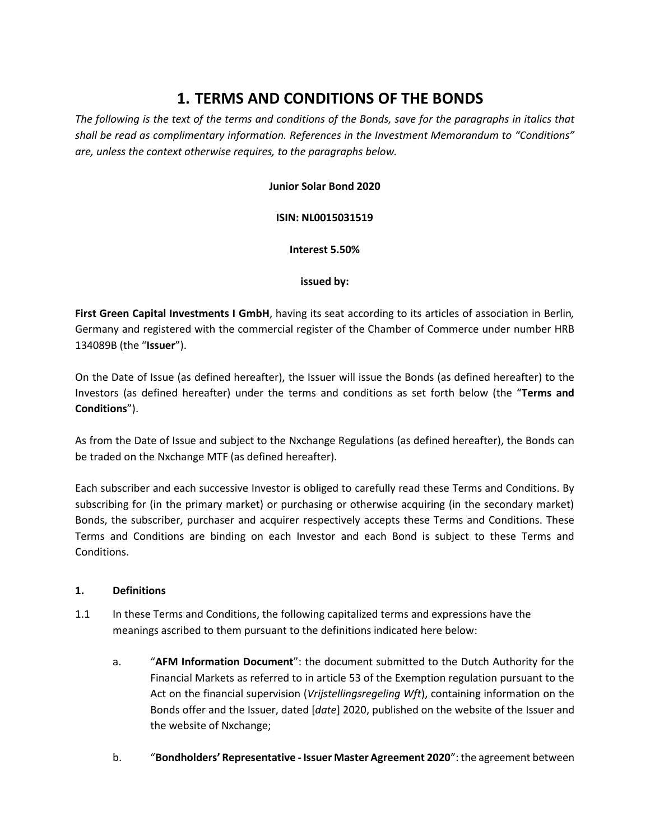# **1. TERMS AND CONDITIONS OF THE BONDS**

The following is the text of the terms and conditions of the Bonds, save for the paragraphs in italics that *shall be read as complimentary information. References in the Investment Memorandum to "Conditions" are, unless the context otherwise requires, to the paragraphs below.*

## **Junior Solar Bond 2020**

#### **ISIN: NL0015031519**

#### **Interest 5.50%**

#### **issued by:**

**First Green Capital Investments I GmbH**, having its seat according to its articles of association in Berlin*,* Germany and registered with the commercial register of the Chamber of Commerce under number HRB 134089B (the "**Issuer**").

On the Date of Issue (as defined hereafter), the Issuer will issue the Bonds (as defined hereafter) to the Investors (as defined hereafter) under the terms and conditions as set forth below (the "**Terms and Conditions**").

As from the Date of Issue and subject to the Nxchange Regulations (as defined hereafter), the Bonds can be traded on the Nxchange MTF (as defined hereafter).

Each subscriber and each successive Investor is obliged to carefully read these Terms and Conditions. By subscribing for (in the primary market) or purchasing or otherwise acquiring (in the secondary market) Bonds, the subscriber, purchaser and acquirer respectively accepts these Terms and Conditions. These Terms and Conditions are binding on each Investor and each Bond is subject to these Terms and Conditions.

#### **1. Definitions**

- 1.1 In these Terms and Conditions, the following capitalized terms and expressions have the meanings ascribed to them pursuant to the definitions indicated here below:
	- a. "**AFM Information Document**": the document submitted to the Dutch Authority for the Financial Markets as referred to in article 53 of the Exemption regulation pursuant to the Act on the financial supervision (*Vrijstellingsregeling Wft*), containing information on the Bonds offer and the Issuer, dated [*date*] 2020, published on the website of the Issuer and the website of Nxchange;
	- b. "**Bondholders' Representative ‐ Issuer Master Agreement 2020**": the agreement between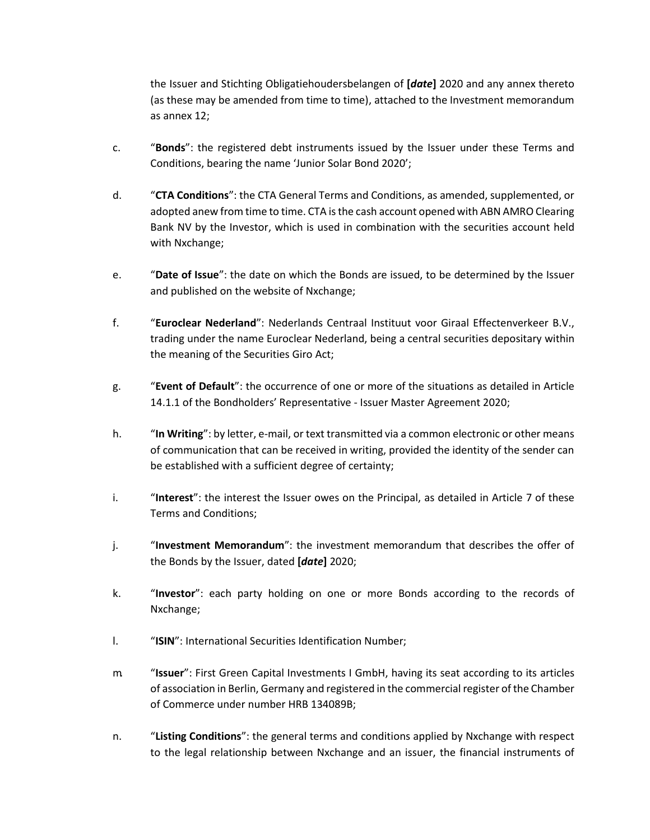the Issuer and Stichting Obligatiehoudersbelangen of **[***date***]** 2020 and any annex thereto (as these may be amended from time to time), attached to the Investment memorandum as annex 12;

- c. "**Bonds**": the registered debt instruments issued by the Issuer under these Terms and Conditions, bearing the name 'Junior Solar Bond 2020';
- d. "**CTA Conditions**": the CTA General Terms and Conditions, as amended, supplemented, or adopted anew from time to time. CTA is the cash account opened with ABN AMRO Clearing Bank NV by the Investor, which is used in combination with the securities account held with Nxchange;
- e. "**Date of Issue**": the date on which the Bonds are issued, to be determined by the Issuer and published on the website of Nxchange;
- f. "**Euroclear Nederland**": Nederlands Centraal Instituut voor Giraal Effectenverkeer B.V., trading under the name Euroclear Nederland, being a central securities depositary within the meaning of the Securities Giro Act;
- g. "**Event of Default**": the occurrence of one or more of the situations as detailed in Article 14.1.1 of the Bondholders' Representative ‐ Issuer Master Agreement 2020;
- h. "**In Writing**": by letter, e-mail, or text transmitted via a common electronic or other means of communication that can be received in writing, provided the identity of the sender can be established with a sufficient degree of certainty;
- i. "**Interest**": the interest the Issuer owes on the Principal, as detailed in Article 7 of these Terms and Conditions;
- j. "**Investment Memorandum**": the investment memorandum that describes the offer of the Bonds by the Issuer, dated **[***date***]** 2020;
- k. "**Investor**": each party holding on one or more Bonds according to the records of Nxchange;
- l. "**ISIN**": International Securities Identification Number;
- m. "**Issuer**": First Green Capital Investments I GmbH, having its seat according to its articles of association in Berlin, Germany and registered in the commercial register of the Chamber of Commerce under number HRB 134089B;
- n. "**Listing Conditions**": the general terms and conditions applied by Nxchange with respect to the legal relationship between Nxchange and an issuer, the financial instruments of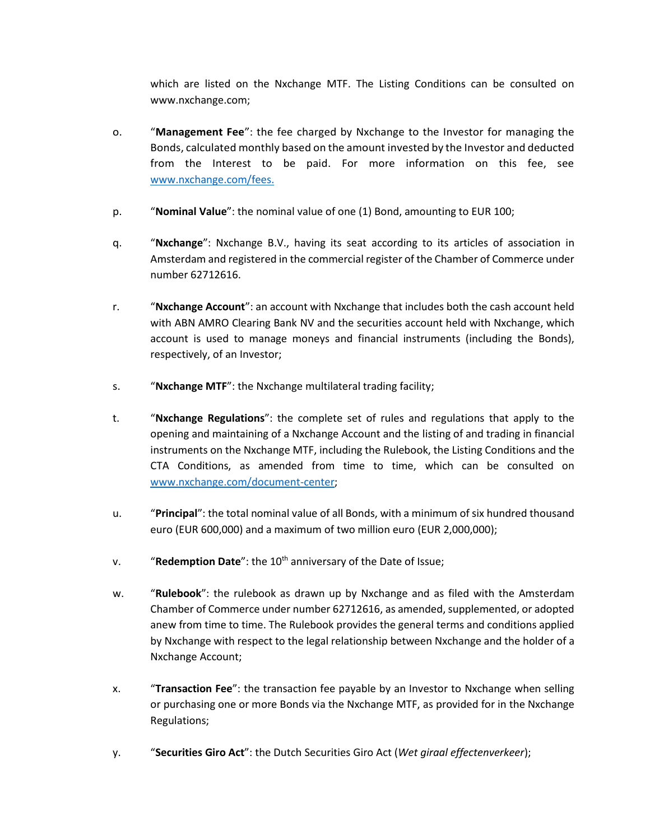which are listed on the Nxchange MTF. The Listing Conditions can be consulted on www.nxchange.com;

- o. "**Management Fee**": the fee charged by Nxchange to the Investor for managing the Bonds, calculated monthly based on the amount invested by the Investor and deducted from the Interest to be paid. For more information on this fee, see [www.nxchange.com/fees.](http://www.nxchange.com/fees)
- p. "**Nominal Value**": the nominal value of one (1) Bond, amounting to EUR 100;
- q. "**Nxchange**": Nxchange B.V., having its seat according to its articles of association in Amsterdam and registered in the commercial register of the Chamber of Commerce under number 62712616.
- r. "**Nxchange Account**": an account with Nxchange that includes both the cash account held with ABN AMRO Clearing Bank NV and the securities account held with Nxchange, which account is used to manage moneys and financial instruments (including the Bonds), respectively, of an Investor;
- s. "**Nxchange MTF**": the Nxchange multilateral trading facility;
- t. "**Nxchange Regulations**": the complete set of rules and regulations that apply to the opening and maintaining of a Nxchange Account and the listing of and trading in financial instruments on the Nxchange MTF, including the Rulebook, the Listing Conditions and the CTA Conditions, as amended from time to time, which can be consulted on [www.nxchange.com/document-center;](https://www.nxchange.com/document-center)
- u. "**Principal**": the total nominal value of all Bonds, with a minimum of six hundred thousand euro (EUR 600,000) and a maximum of two million euro (EUR 2,000,000);
- v. **"Redemption Date**": the 10<sup>th</sup> anniversary of the Date of Issue;
- w. "**Rulebook**": the rulebook as drawn up by Nxchange and as filed with the Amsterdam Chamber of Commerce under number 62712616, as amended, supplemented, or adopted anew from time to time. The Rulebook provides the general terms and conditions applied by Nxchange with respect to the legal relationship between Nxchange and the holder of a Nxchange Account;
- x. "**Transaction Fee**": the transaction fee payable by an Investor to Nxchange when selling or purchasing one or more Bonds via the Nxchange MTF, as provided for in the Nxchange Regulations;
- y. "**Securities Giro Act**": the Dutch Securities Giro Act (*Wet giraal effectenverkeer*);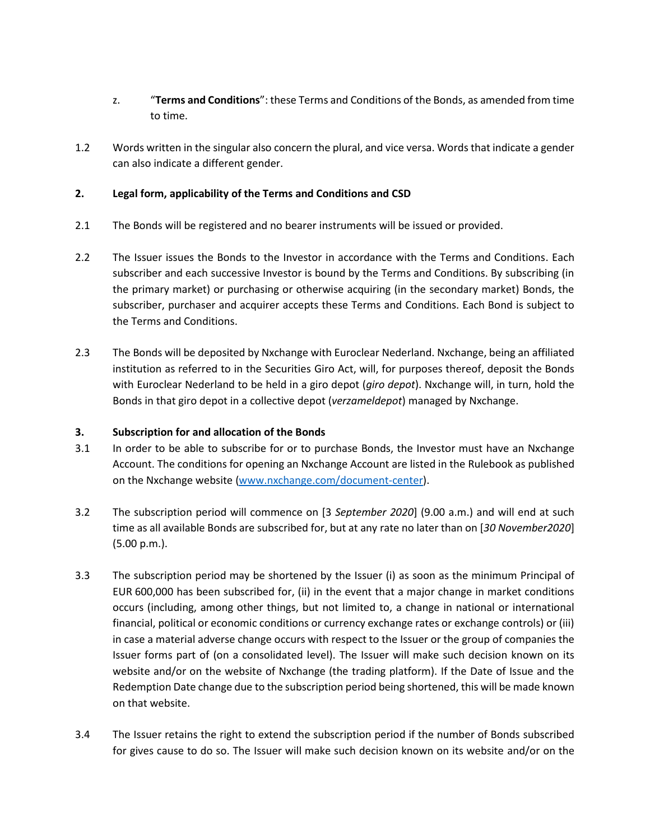- z. "**Terms and Conditions**": these Terms and Conditions of the Bonds, as amended from time to time.
- 1.2 Words written in the singular also concern the plural, and vice versa. Words that indicate a gender can also indicate a different gender.

## **2. Legal form, applicability of the Terms and Conditions and CSD**

- 2.1 The Bonds will be registered and no bearer instruments will be issued or provided.
- 2.2 The Issuer issues the Bonds to the Investor in accordance with the Terms and Conditions. Each subscriber and each successive Investor is bound by the Terms and Conditions. By subscribing (in the primary market) or purchasing or otherwise acquiring (in the secondary market) Bonds, the subscriber, purchaser and acquirer accepts these Terms and Conditions. Each Bond is subject to the Terms and Conditions.
- 2.3 The Bonds will be deposited by Nxchange with Euroclear Nederland. Nxchange, being an affiliated institution as referred to in the Securities Giro Act, will, for purposes thereof, deposit the Bonds with Euroclear Nederland to be held in a giro depot (*giro depot*). Nxchange will, in turn, hold the Bonds in that giro depot in a collective depot (*verzameldepot*) managed by Nxchange.

## **3. Subscription for and allocation of the Bonds**

- 3.1 In order to be able to subscribe for or to purchase Bonds, the Investor must have an Nxchange Account. The conditions for opening an Nxchange Account are listed in the Rulebook as published on the Nxchange website [\(www.nxchange.com/document-center\)](https://www.nxchange.com/document-center).
- 3.2 The subscription period will commence on [3 *September 2020*] (9.00 a.m.) and will end at such time as all available Bonds are subscribed for, but at any rate no later than on [*30 November2020*] (5.00 p.m.).
- 3.3 The subscription period may be shortened by the Issuer (i) as soon as the minimum Principal of EUR 600,000 has been subscribed for, (ii) in the event that a major change in market conditions occurs (including, among other things, but not limited to, a change in national or international financial, political or economic conditions or currency exchange rates or exchange controls) or (iii) in case a material adverse change occurs with respect to the Issuer or the group of companies the Issuer forms part of (on a consolidated level). The Issuer will make such decision known on its website and/or on the website of Nxchange (the trading platform). If the Date of Issue and the Redemption Date change due to the subscription period being shortened, this will be made known on that website.
- 3.4 The Issuer retains the right to extend the subscription period if the number of Bonds subscribed for gives cause to do so. The Issuer will make such decision known on its website and/or on the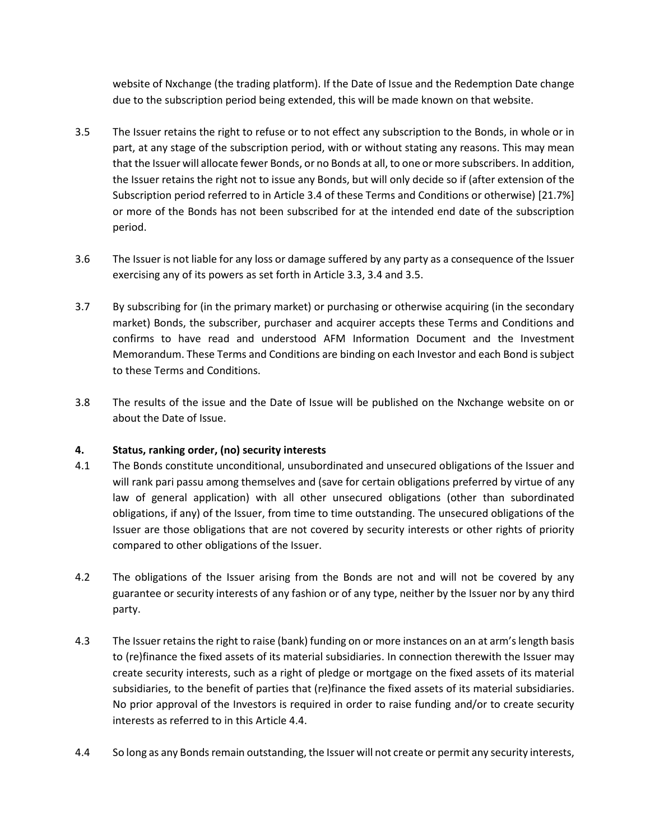website of Nxchange (the trading platform). If the Date of Issue and the Redemption Date change due to the subscription period being extended, this will be made known on that website.

- 3.5 The Issuer retains the right to refuse or to not effect any subscription to the Bonds, in whole or in part, at any stage of the subscription period, with or without stating any reasons. This may mean that the Issuer will allocate fewer Bonds, or no Bonds at all, to one or more subscribers. In addition, the Issuer retains the right not to issue any Bonds, but will only decide so if (after extension of the Subscription period referred to in Article 3.4 of these Terms and Conditions or otherwise) [21.7%] or more of the Bonds has not been subscribed for at the intended end date of the subscription period.
- 3.6 The Issuer is not liable for any loss or damage suffered by any party as a consequence of the Issuer exercising any of its powers as set forth in Article 3.3, 3.4 and 3.5.
- 3.7 By subscribing for (in the primary market) or purchasing or otherwise acquiring (in the secondary market) Bonds, the subscriber, purchaser and acquirer accepts these Terms and Conditions and confirms to have read and understood AFM Information Document and the Investment Memorandum. These Terms and Conditions are binding on each Investor and each Bond is subject to these Terms and Conditions.
- 3.8 The results of the issue and the Date of Issue will be published on the Nxchange website on or about the Date of Issue.

## **4. Status, ranking order, (no) security interests**

- 4.1 The Bonds constitute unconditional, unsubordinated and unsecured obligations of the Issuer and will rank pari passu among themselves and (save for certain obligations preferred by virtue of any law of general application) with all other unsecured obligations (other than subordinated obligations, if any) of the Issuer, from time to time outstanding. The unsecured obligations of the Issuer are those obligations that are not covered by security interests or other rights of priority compared to other obligations of the Issuer.
- 4.2 The obligations of the Issuer arising from the Bonds are not and will not be covered by any guarantee or security interests of any fashion or of any type, neither by the Issuer nor by any third party.
- 4.3 The Issuer retains the right to raise (bank) funding on or more instances on an at arm's length basis to (re)finance the fixed assets of its material subsidiaries. In connection therewith the Issuer may create security interests, such as a right of pledge or mortgage on the fixed assets of its material subsidiaries, to the benefit of parties that (re)finance the fixed assets of its material subsidiaries. No prior approval of the Investors is required in order to raise funding and/or to create security interests as referred to in this Article 4.4.
- 4.4 [So long](https://www.lawinsider.com/clause/negative-pledge) as any Bonds remain outstanding, the Issuer will not create or permit any security interests,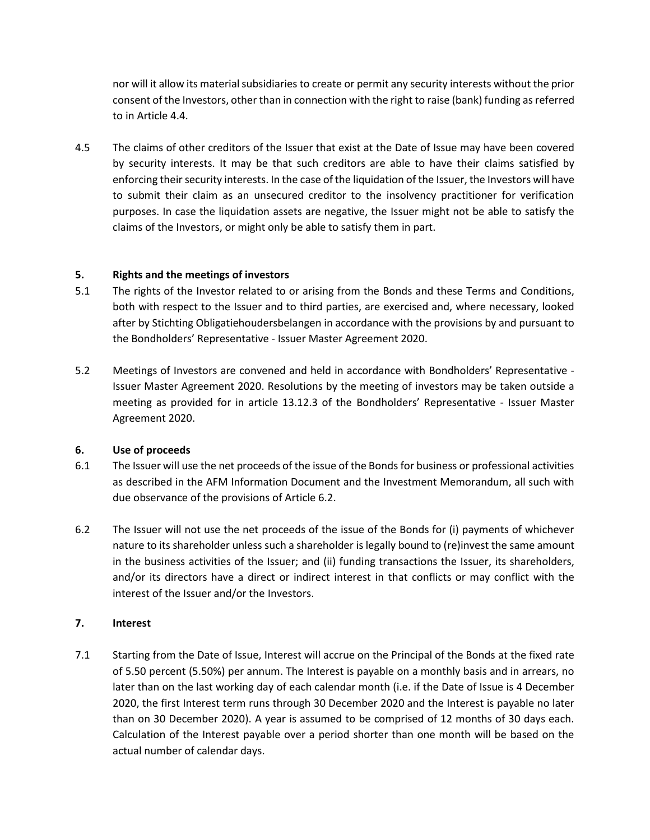nor will it allow its material subsidiaries to create or permit any security interests without the prior consent of the Investors, other than in connection with the right to raise (bank) funding as referred to in Article 4.4.

4.5 The claims of other creditors of the Issuer that exist at the Date of Issue may have been covered by security interests. It may be that such creditors are able to have their claims satisfied by enforcing their security interests. In the case of the liquidation of the Issuer, the Investors will have to submit their claim as an unsecured creditor to the insolvency practitioner for verification purposes. In case the liquidation assets are negative, the Issuer might not be able to satisfy the claims of the Investors, or might only be able to satisfy them in part.

### **5. Rights and the meetings of investors**

- 5.1 The rights of the Investor related to or arising from the Bonds and these Terms and Conditions, both with respect to the Issuer and to third parties, are exercised and, where necessary, looked after by Stichting Obligatiehoudersbelangen in accordance with the provisions by and pursuant to the Bondholders' Representative ‐ Issuer Master Agreement 2020.
- 5.2 Meetings of Investors are convened and held in accordance with Bondholders' Representative ‐ Issuer Master Agreement 2020. Resolutions by the meeting of investors may be taken outside a meeting as provided for in article 13.12.3 of the Bondholders' Representative ‐ Issuer Master Agreement 2020.

#### **6. Use of proceeds**

- 6.1 The Issuer will use the net proceeds of the issue of the Bonds for business or professional activities as described in the AFM Information Document and the Investment Memorandum, all such with due observance of the provisions of Article 6.2.
- 6.2 The Issuer will not use the net proceeds of the issue of the Bonds for (i) payments of whichever nature to its shareholder unless such a shareholder is legally bound to (re)invest the same amount in the business activities of the Issuer; and (ii) funding transactions the Issuer, its shareholders, and/or its directors have a direct or indirect interest in that conflicts or may conflict with the interest of the Issuer and/or the Investors.

## **7. Interest**

7.1 Starting from the Date of Issue, Interest will accrue on the Principal of the Bonds at the fixed rate of 5.50 percent (5.50%) per annum. The Interest is payable on a monthly basis and in arrears, no later than on the last working day of each calendar month (i.e. if the Date of Issue is 4 December 2020, the first Interest term runs through 30 December 2020 and the Interest is payable no later than on 30 December 2020). A year is assumed to be comprised of 12 months of 30 days each. Calculation of the Interest payable over a period shorter than one month will be based on the actual number of calendar days.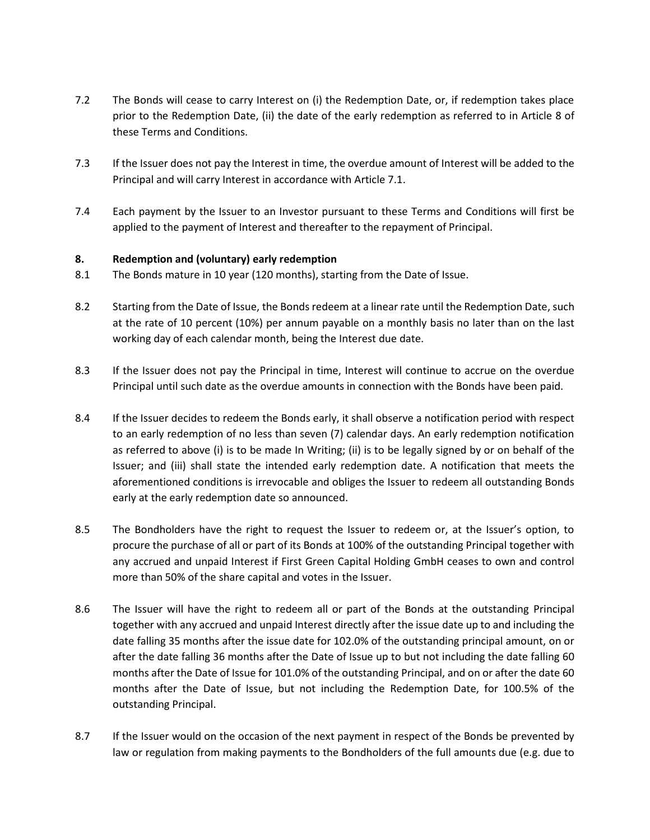- 7.2 The Bonds will cease to carry Interest on (i) the Redemption Date, or, if redemption takes place prior to the Redemption Date, (ii) the date of the early redemption as referred to in Article 8 of these Terms and Conditions.
- 7.3 If the Issuer does not pay the Interest in time, the overdue amount of Interest will be added to the Principal and will carry Interest in accordance with Article 7.1.
- 7.4 Each payment by the Issuer to an Investor pursuant to these Terms and Conditions will first be applied to the payment of Interest and thereafter to the repayment of Principal.

#### **8. Redemption and (voluntary) early redemption**

- 8.1 The Bonds mature in 10 year (120 months), starting from the Date of Issue.
- 8.2 Starting from the Date of Issue, the Bonds redeem at a linear rate until the Redemption Date, such at the rate of 10 percent (10%) per annum payable on a monthly basis no later than on the last working day of each calendar month, being the Interest due date.
- 8.3 If the Issuer does not pay the Principal in time, Interest will continue to accrue on the overdue Principal until such date as the overdue amounts in connection with the Bonds have been paid.
- 8.4 If the Issuer decides to redeem the Bonds early, it shall observe a notification period with respect to an early redemption of no less than seven (7) calendar days. An early redemption notification as referred to above (i) is to be made In Writing; (ii) is to be legally signed by or on behalf of the Issuer; and (iii) shall state the intended early redemption date. A notification that meets the aforementioned conditions is irrevocable and obliges the Issuer to redeem all outstanding Bonds early at the early redemption date so announced.
- 8.5 The Bondholders have the right to request the Issuer to redeem or, at the Issuer's option, to procure the purchase of all or part of its Bonds at 100% of the outstanding Principal together with any accrued and unpaid Interest if First Green Capital Holding GmbH ceases to own and control more than 50% of the share capital and votes in the Issuer.
- 8.6 The Issuer will have the right to redeem all or part of the Bonds at the outstanding Principal together with any accrued and unpaid Interest directly after the issue date up to and including the date falling 35 months after the issue date for 102.0% of the outstanding principal amount, on or after the date falling 36 months after the Date of Issue up to but not including the date falling 60 months after the Date of Issue for 101.0% of the outstanding Principal, and on or after the date 60 months after the Date of Issue, but not including the Redemption Date, for 100.5% of the outstanding Principal.
- 8.7 If the Issuer would on the occasion of the next payment in respect of the Bonds be prevented by law or regulation from making payments to the Bondholders of the full amounts due (e.g. due to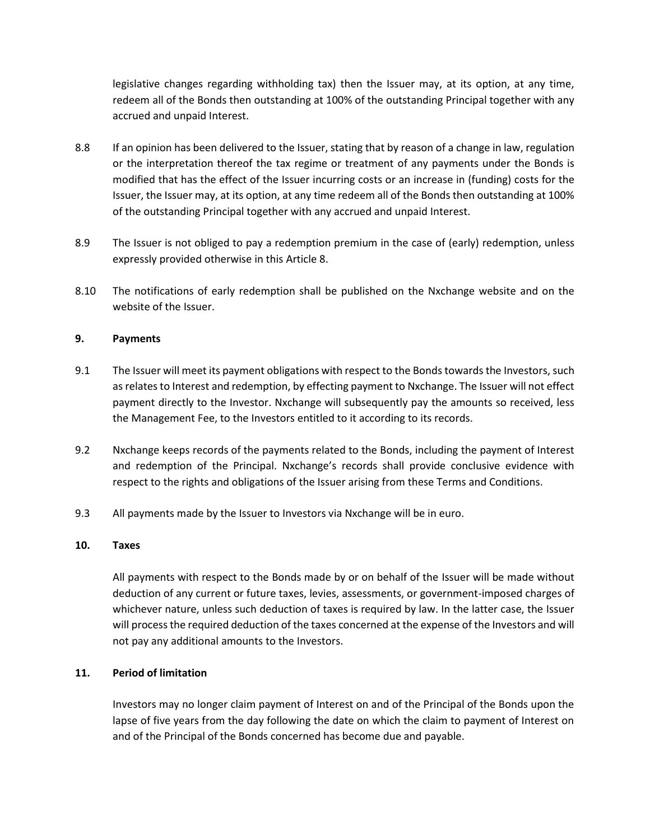legislative changes regarding withholding tax) then the Issuer may, at its option, at any time, redeem all of the Bonds then outstanding at 100% of the outstanding Principal together with any accrued and unpaid Interest.

- 8.8 If an opinion has been delivered to the Issuer, stating that by reason of a change in law, regulation or the interpretation thereof the tax regime or treatment of any payments under the Bonds is modified that has the effect of the Issuer incurring costs or an increase in (funding) costs for the Issuer, the Issuer may, at its option, at any time redeem all of the Bonds then outstanding at 100% of the outstanding Principal together with any accrued and unpaid Interest.
- 8.9 The Issuer is not obliged to pay a redemption premium in the case of (early) redemption, unless expressly provided otherwise in this Article 8.
- 8.10 The notifications of early redemption shall be published on the Nxchange website and on the website of the Issuer.

#### **9. Payments**

- 9.1 The Issuer will meet its payment obligations with respect to the Bonds towards the Investors, such as relates to Interest and redemption, by effecting payment to Nxchange. The Issuer will not effect payment directly to the Investor. Nxchange will subsequently pay the amounts so received, less the Management Fee, to the Investors entitled to it according to its records.
- 9.2 Nxchange keeps records of the payments related to the Bonds, including the payment of Interest and redemption of the Principal. Nxchange's records shall provide conclusive evidence with respect to the rights and obligations of the Issuer arising from these Terms and Conditions.
- 9.3 All payments made by the Issuer to Investors via Nxchange will be in euro.

#### **10. Taxes**

All payments with respect to the Bonds made by or on behalf of the Issuer will be made without deduction of any current or future taxes, levies, assessments, or government-imposed charges of whichever nature, unless such deduction of taxes is required by law. In the latter case, the Issuer will process the required deduction of the taxes concerned at the expense of the Investors and will not pay any additional amounts to the Investors.

### **11. Period of limitation**

Investors may no longer claim payment of Interest on and of the Principal of the Bonds upon the lapse of five years from the day following the date on which the claim to payment of Interest on and of the Principal of the Bonds concerned has become due and payable.